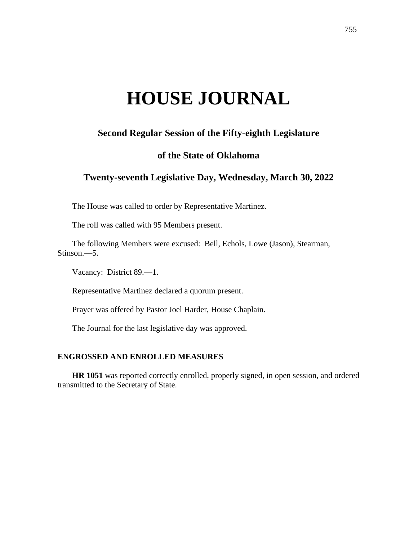# **HOUSE JOURNAL**

# **Second Regular Session of the Fifty-eighth Legislature**

## **of the State of Oklahoma**

## **Twenty-seventh Legislative Day, Wednesday, March 30, 2022**

The House was called to order by Representative Martinez.

The roll was called with 95 Members present.

The following Members were excused: Bell, Echols, Lowe (Jason), Stearman, Stinson.—5.

Vacancy: District 89.—1.

Representative Martinez declared a quorum present.

Prayer was offered by Pastor Joel Harder, House Chaplain.

The Journal for the last legislative day was approved.

#### **ENGROSSED AND ENROLLED MEASURES**

**HR 1051** was reported correctly enrolled, properly signed, in open session, and ordered transmitted to the Secretary of State.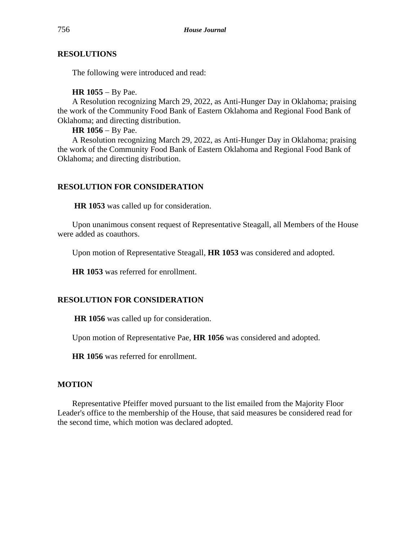#### **RESOLUTIONS**

The following were introduced and read:

#### **HR 1055** − By Pae.

A Resolution recognizing March 29, 2022, as Anti-Hunger Day in Oklahoma; praising the work of the Community Food Bank of Eastern Oklahoma and Regional Food Bank of Oklahoma; and directing distribution.

#### **HR 1056** − By Pae.

A Resolution recognizing March 29, 2022, as Anti-Hunger Day in Oklahoma; praising the work of the Community Food Bank of Eastern Oklahoma and Regional Food Bank of Oklahoma; and directing distribution.

## **RESOLUTION FOR CONSIDERATION**

**HR 1053** was called up for consideration.

Upon unanimous consent request of Representative Steagall, all Members of the House were added as coauthors.

Upon motion of Representative Steagall, **HR 1053** was considered and adopted.

**HR 1053** was referred for enrollment.

## **RESOLUTION FOR CONSIDERATION**

**HR 1056** was called up for consideration.

Upon motion of Representative Pae, **HR 1056** was considered and adopted.

**HR 1056** was referred for enrollment.

## **MOTION**

Representative Pfeiffer moved pursuant to the list emailed from the Majority Floor Leader's office to the membership of the House, that said measures be considered read for the second time, which motion was declared adopted.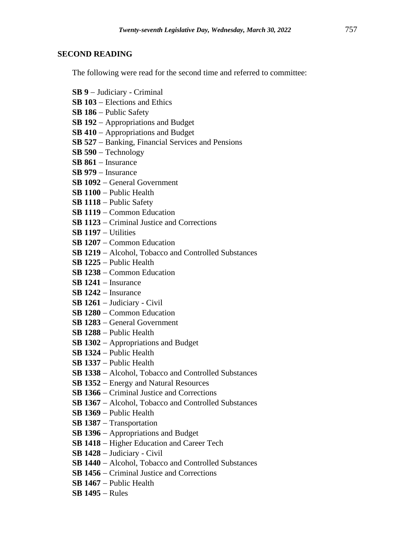#### **SECOND READING**

The following were read for the second time and referred to committee:

- **SB 9** − Judiciary Criminal
- **SB 103** − Elections and Ethics
- **SB 186** − Public Safety
- **SB 192** − Appropriations and Budget
- **SB 410** − Appropriations and Budget
- **SB 527** − Banking, Financial Services and Pensions
- **SB 590** − Technology
- **SB 861** − Insurance
- **SB 979** − Insurance
- **SB 1092** − General Government
- **SB 1100** − Public Health
- **SB 1118** − Public Safety
- **SB 1119** − Common Education
- **SB 1123** − Criminal Justice and Corrections
- **SB 1197** − Utilities
- **SB 1207** − Common Education
- **SB 1219** − Alcohol, Tobacco and Controlled Substances
- **SB 1225** − Public Health
- **SB 1238** − Common Education
- **SB 1241** − Insurance
- **SB 1242** − Insurance
- **SB 1261** − Judiciary Civil
- **SB 1280** − Common Education
- **SB 1283** − General Government
- **SB 1288** − Public Health
- **SB 1302** − Appropriations and Budget
- **SB 1324** − Public Health
- **SB 1337** − Public Health
- **SB 1338** − Alcohol, Tobacco and Controlled Substances
- **SB 1352** − Energy and Natural Resources
- **SB 1366** − Criminal Justice and Corrections
- **SB 1367** − Alcohol, Tobacco and Controlled Substances
- **SB 1369** − Public Health
- **SB 1387** − Transportation
- **SB 1396** − Appropriations and Budget
- **SB 1418** − Higher Education and Career Tech
- **SB 1428** − Judiciary Civil
- **SB 1440** − Alcohol, Tobacco and Controlled Substances
- **SB 1456** − Criminal Justice and Corrections
- **SB 1467** − Public Health
- **SB 1495** − Rules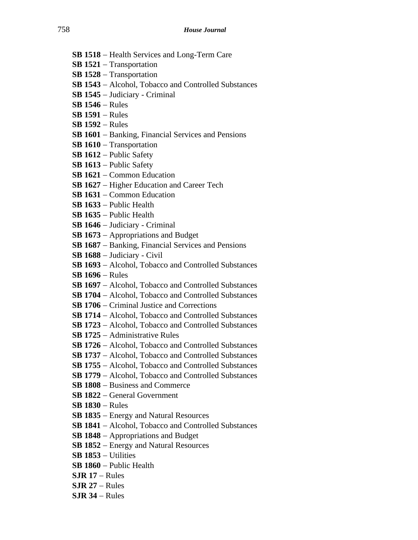- **SB 1518** − Health Services and Long-Term Care
- **SB 1521** − Transportation
- **SB 1528** − Transportation
- **SB 1543** − Alcohol, Tobacco and Controlled Substances
- **SB 1545** − Judiciary Criminal
- **SB 1546** − Rules
- **SB 1591** − Rules
- **SB 1592** − Rules
- **SB 1601** − Banking, Financial Services and Pensions
- **SB 1610** − Transportation
- **SB 1612** − Public Safety
- **SB 1613** − Public Safety
- **SB 1621** − Common Education
- **SB 1627** − Higher Education and Career Tech
- **SB 1631** − Common Education
- **SB 1633** − Public Health
- **SB 1635** − Public Health
- **SB 1646** − Judiciary Criminal
- **SB 1673** − Appropriations and Budget
- **SB 1687** − Banking, Financial Services and Pensions
- **SB 1688** − Judiciary Civil
- **SB 1693** − Alcohol, Tobacco and Controlled Substances
- **SB 1696** − Rules
- **SB 1697** − Alcohol, Tobacco and Controlled Substances
- **SB 1704** − Alcohol, Tobacco and Controlled Substances
- **SB 1706** − Criminal Justice and Corrections
- **SB 1714** − Alcohol, Tobacco and Controlled Substances
- **SB 1723** − Alcohol, Tobacco and Controlled Substances
- **SB 1725** − Administrative Rules
- **SB 1726** − Alcohol, Tobacco and Controlled Substances
- **SB 1737** − Alcohol, Tobacco and Controlled Substances
- **SB 1755** − Alcohol, Tobacco and Controlled Substances
- **SB 1779** − Alcohol, Tobacco and Controlled Substances
- **SB 1808** − Business and Commerce
- **SB 1822** − General Government
- **SB 1830** − Rules
- **SB 1835** − Energy and Natural Resources
- **SB 1841** − Alcohol, Tobacco and Controlled Substances
- **SB 1848** − Appropriations and Budget
- **SB 1852** − Energy and Natural Resources
- **SB 1853** − Utilities
- **SB 1860** − Public Health
- **SJR 17** − Rules
- **SJR 27** − Rules
- **SJR 34** − Rules